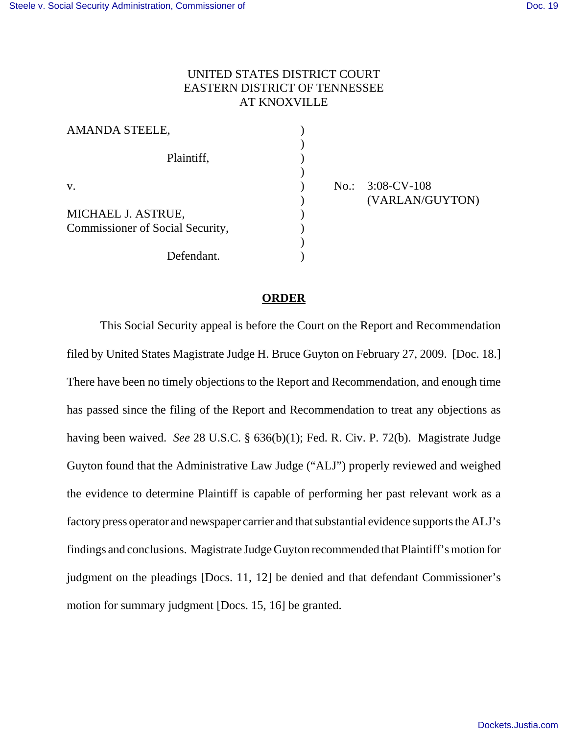## UNITED STATES DISTRICT COURT EASTERN DISTRICT OF TENNESSEE AT KNOXVILLE

| <b>AMANDA STEELE,</b>                                  |  |
|--------------------------------------------------------|--|
| Plaintiff,                                             |  |
| V.                                                     |  |
| MICHAEL J. ASTRUE,<br>Commissioner of Social Security, |  |
| Defendant.                                             |  |

) No.: 3:08-CV-108 ) (VARLAN/GUYTON)

## **ORDER**

This Social Security appeal is before the Court on the Report and Recommendation filed by United States Magistrate Judge H. Bruce Guyton on February 27, 2009. [Doc. 18.] There have been no timely objections to the Report and Recommendation, and enough time has passed since the filing of the Report and Recommendation to treat any objections as having been waived. *See* 28 U.S.C. § 636(b)(1); Fed. R. Civ. P. 72(b). Magistrate Judge Guyton found that the Administrative Law Judge ("ALJ") properly reviewed and weighed the evidence to determine Plaintiff is capable of performing her past relevant work as a factory press operator and newspaper carrier and that substantial evidence supports the ALJ's findings and conclusions. Magistrate Judge Guyton recommended that Plaintiff's motion for judgment on the pleadings [Docs. 11, 12] be denied and that defendant Commissioner's motion for summary judgment [Docs. 15, 16] be granted.